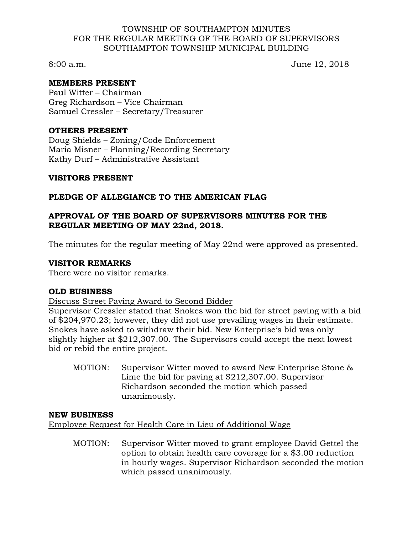#### TOWNSHIP OF SOUTHAMPTON MINUTES FOR THE REGULAR MEETING OF THE BOARD OF SUPERVISORS SOUTHAMPTON TOWNSHIP MUNICIPAL BUILDING

8:00 a.m. June 12, 2018

## **MEMBERS PRESENT**

Paul Witter – Chairman Greg Richardson – Vice Chairman Samuel Cressler – Secretary/Treasurer

#### **OTHERS PRESENT**

Doug Shields – Zoning/Code Enforcement Maria Misner – Planning/Recording Secretary Kathy Durf – Administrative Assistant

#### **VISITORS PRESENT**

## **PLEDGE OF ALLEGIANCE TO THE AMERICAN FLAG**

## **APPROVAL OF THE BOARD OF SUPERVISORS MINUTES FOR THE REGULAR MEETING OF MAY 22nd, 2018.**

The minutes for the regular meeting of May 22nd were approved as presented.

#### **VISITOR REMARKS**

There were no visitor remarks.

## **OLD BUSINESS**

Discuss Street Paving Award to Second Bidder

Supervisor Cressler stated that Snokes won the bid for street paving with a bid of \$204,970.23; however, they did not use prevailing wages in their estimate. Snokes have asked to withdraw their bid. New Enterprise's bid was only slightly higher at \$212,307.00. The Supervisors could accept the next lowest bid or rebid the entire project.

MOTION: Supervisor Witter moved to award New Enterprise Stone & Lime the bid for paving at \$212,307.00. Supervisor Richardson seconded the motion which passed unanimously.

## **NEW BUSINESS**

Employee Request for Health Care in Lieu of Additional Wage

MOTION: Supervisor Witter moved to grant employee David Gettel the option to obtain health care coverage for a \$3.00 reduction in hourly wages. Supervisor Richardson seconded the motion which passed unanimously.